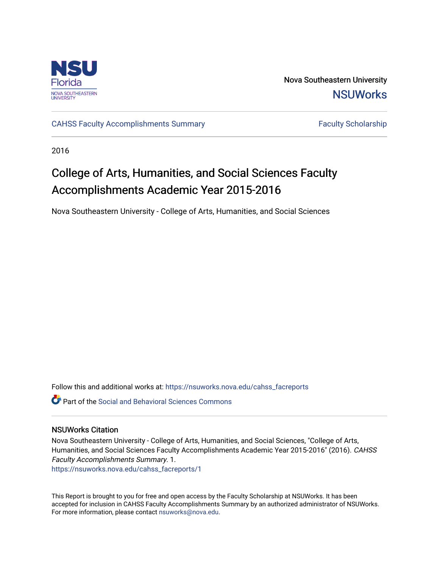

Nova Southeastern University **NSUWorks** 

[CAHSS Faculty Accomplishments Summary](https://nsuworks.nova.edu/cahss_facreports) Faculty Scholarship

2016

# College of Arts, Humanities, and Social Sciences Faculty Accomplishments Academic Year 2015-2016

Nova Southeastern University - College of Arts, Humanities, and Social Sciences

Follow this and additional works at: [https://nsuworks.nova.edu/cahss\\_facreports](https://nsuworks.nova.edu/cahss_facreports?utm_source=nsuworks.nova.edu%2Fcahss_facreports%2F1&utm_medium=PDF&utm_campaign=PDFCoverPages) 

**P** Part of the Social and Behavioral Sciences Commons

#### NSUWorks Citation

Nova Southeastern University - College of Arts, Humanities, and Social Sciences, "College of Arts, Humanities, and Social Sciences Faculty Accomplishments Academic Year 2015-2016" (2016). CAHSS Faculty Accomplishments Summary. 1. [https://nsuworks.nova.edu/cahss\\_facreports/1](https://nsuworks.nova.edu/cahss_facreports/1?utm_source=nsuworks.nova.edu%2Fcahss_facreports%2F1&utm_medium=PDF&utm_campaign=PDFCoverPages)

This Report is brought to you for free and open access by the Faculty Scholarship at NSUWorks. It has been accepted for inclusion in CAHSS Faculty Accomplishments Summary by an authorized administrator of NSUWorks. For more information, please contact [nsuworks@nova.edu.](mailto:nsuworks@nova.edu)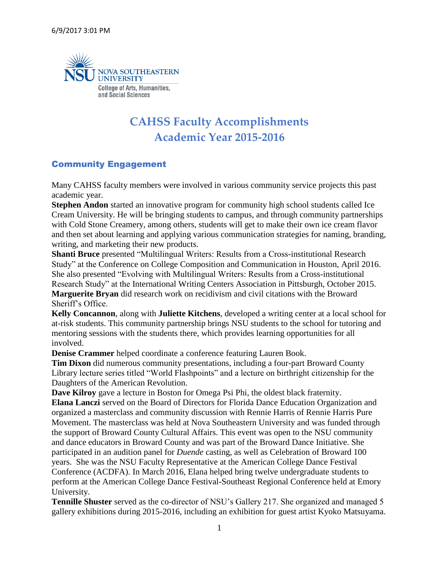

# **CAHSS Faculty Accomplishments Academic Year 2015-2016**

## Community Engagement

Many CAHSS faculty members were involved in various community service projects this past academic year.

**Stephen Andon** started an innovative program for community high school students called Ice Cream University. He will be bringing students to campus, and through community partnerships with Cold Stone Creamery, among others, students will get to make their own ice cream flavor and then set about learning and applying various communication strategies for naming, branding, writing, and marketing their new products.

**Shanti Bruce** presented "Multilingual Writers: Results from a Cross-institutional Research Study" at the Conference on College Composition and Communication in Houston, April 2016. She also presented "Evolving with Multilingual Writers: Results from a Cross-institutional Research Study" at the International Writing Centers Association in Pittsburgh, October 2015. **Marguerite Bryan** did research work on recidivism and civil citations with the Broward Sheriff's Office.

**Kelly Concannon**, along with **Juliette Kitchens**, developed a writing center at a local school for at-risk students. This community partnership brings NSU students to the school for tutoring and mentoring sessions with the students there, which provides learning opportunities for all involved.

**Denise Crammer** helped coordinate a conference featuring Lauren Book.

**Tim Dixon** did numerous community presentations, including a four-part Broward County Library lecture series titled "World Flashpoints" and a lecture on birthright citizenship for the Daughters of the American Revolution.

**Dave Kilroy** gave a lecture in Boston for Omega Psi Phi, the oldest black fraternity. **Elana Lanczi** served on the Board of Directors for Florida Dance Education Organization and organized a masterclass and community discussion with Rennie Harris of Rennie Harris Pure Movement. The masterclass was held at Nova Southeastern University and was funded through the support of Broward County Cultural Affairs. This event was open to the NSU community and dance educators in Broward County and was part of the Broward Dance Initiative. She participated in an audition panel for *Duende* casting, as well as Celebration of Broward 100 years. She was the NSU Faculty Representative at the American College Dance Festival Conference (ACDFA). In March 2016, Elana helped bring twelve undergraduate students to perform at the American College Dance Festival-Southeast Regional Conference held at Emory University.

**Tennille Shuster** served as the co-director of NSU's Gallery 217. She organized and managed 5 gallery exhibitions during 2015-2016, including an exhibition for guest artist Kyoko Matsuyama.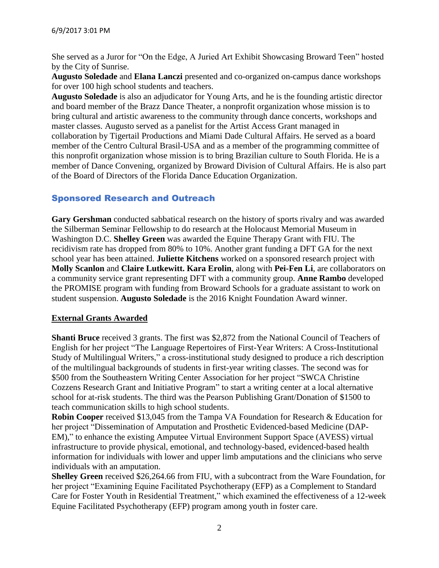She served as a Juror for "On the Edge, A Juried Art Exhibit Showcasing Broward Teen" hosted by the City of Sunrise.

**Augusto Soledade** and **Elana Lanczi** presented and co-organized on-campus dance workshops for over 100 high school students and teachers.

**Augusto Soledade** is also an adjudicator for Young Arts, and he is the founding artistic director and board member of the Brazz Dance Theater, a nonprofit organization whose mission is to bring cultural and artistic awareness to the community through dance concerts, workshops and master classes. Augusto served as a panelist for the Artist Access Grant managed in collaboration by Tigertail Productions and Miami Dade Cultural Affairs. He served as a board member of the Centro Cultural Brasil-USA and as a member of the programming committee of this nonprofit organization whose mission is to bring Brazilian culture to South Florida. He is a member of Dance Convening, organized by Broward Division of Cultural Affairs. He is also part of the Board of Directors of the Florida Dance Education Organization.

#### Sponsored Research and Outreach

**Gary Gershman** conducted sabbatical research on the history of sports rivalry and was awarded the Silberman Seminar Fellowship to do research at the Holocaust Memorial Museum in Washington D.C. **Shelley Green** was awarded the Equine Therapy Grant with FIU. The recidivism rate has dropped from 80% to 10%. Another grant funding a DFT GA for the next school year has been attained. **Juliette Kitchens** worked on a sponsored research project with **Molly Scanlon** and **Claire Lutkewitt. Kara Erolin**, along with **Pei-Fen Li**, are collaborators on a community service grant representing DFT with a community group. **Anne Rambo** developed the PROMISE program with funding from Broward Schools for a graduate assistant to work on student suspension. **Augusto Soledade** is the 2016 Knight Foundation Award winner.

#### **External Grants Awarded**

**Shanti Bruce** received 3 grants. The first was \$2,872 from the National Council of Teachers of English for her project "The Language Repertoires of First-Year Writers: A Cross-Institutional Study of Multilingual Writers," a cross-institutional study designed to produce a rich description of the multilingual backgrounds of students in first-year writing classes. The second was for \$500 from the Southeastern Writing Center Association for her project "SWCA Christine Cozzens Research Grant and Initiative Program" to start a writing center at a local alternative school for at-risk students. The third was the Pearson Publishing Grant/Donation of \$1500 to teach communication skills to high school students.

**Robin Cooper** received \$13,045 from the Tampa VA Foundation for Research & Education for her project "Dissemination of Amputation and Prosthetic Evidenced-based Medicine (DAP-EM)," to enhance the existing Amputee Virtual Environment Support Space (AVESS) virtual infrastructure to provide physical, emotional, and technology-based, evidenced-based health information for individuals with lower and upper limb amputations and the clinicians who serve individuals with an amputation.

**Shelley Green** received \$26,264.66 from FIU, with a subcontract from the Ware Foundation, for her project "Examining Equine Facilitated Psychotherapy (EFP) as a Complement to Standard Care for Foster Youth in Residential Treatment," which examined the effectiveness of a 12-week Equine Facilitated Psychotherapy (EFP) program among youth in foster care.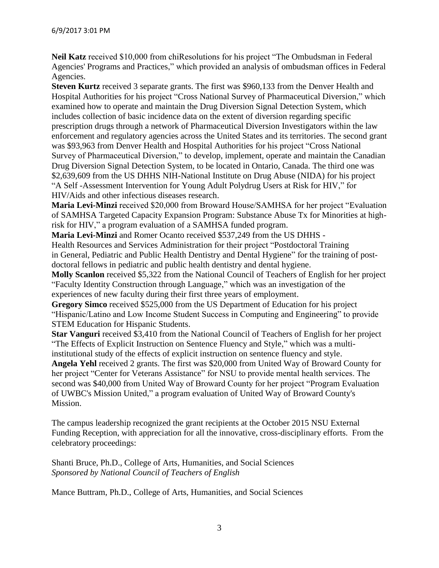**Neil Katz** received \$10,000 from chiResolutions for his project "The Ombudsman in Federal Agencies' Programs and Practices," which provided an analysis of ombudsman offices in Federal Agencies.

**Steven Kurtz** received 3 separate grants. The first was \$960,133 from the Denver Health and Hospital Authorities for his project "Cross National Survey of Pharmaceutical Diversion," which examined how to operate and maintain the Drug Diversion Signal Detection System, which includes collection of basic incidence data on the extent of diversion regarding specific prescription drugs through a network of Pharmaceutical Diversion Investigators within the law enforcement and regulatory agencies across the United States and its territories. The second grant was \$93,963 from Denver Health and Hospital Authorities for his project "Cross National Survey of Pharmaceutical Diversion," to develop, implement, operate and maintain the Canadian Drug Diversion Signal Detection System, to be located in Ontario, Canada. The third one was \$2,639,609 from the US DHHS NIH-National Institute on Drug Abuse (NIDA) for his project "A Self -Assessment Intervention for Young Adult Polydrug Users at Risk for HIV," for HIV/Aids and other infectious diseases research.

**Maria Levi-Minzi** received \$20,000 from Broward House/SAMHSA for her project "Evaluation of SAMHSA Targeted Capacity Expansion Program: Substance Abuse Tx for Minorities at highrisk for HIV," a program evaluation of a SAMHSA funded program.

**Maria Levi-Minzi** and Romer Ocanto received \$537,249 from the US DHHS - Health Resources and Services Administration for their project "Postdoctoral Training in General, Pediatric and Public Health Dentistry and Dental Hygiene" for the training of postdoctoral fellows in pediatric and public health dentistry and dental hygiene.

**Molly Scanlon** received \$5,322 from the National Council of Teachers of English for her project "Faculty Identity Construction through Language," which was an investigation of the experiences of new faculty during their first three years of employment.

**Gregory Simco** received \$525,000 from the US Department of Education for his project "Hispanic/Latino and Low Income Student Success in Computing and Engineering" to provide

STEM Education for Hispanic Students.

**Star Vanguri** received \$3,410 from the National Council of Teachers of English for her project "The Effects of Explicit Instruction on Sentence Fluency and Style," which was a multiinstitutional study of the effects of explicit instruction on sentence fluency and style.

**Angela Yehl** received 2 grants. The first was \$20,000 from United Way of Broward County for her project "Center for Veterans Assistance" for NSU to provide mental health services. The second was \$40,000 from United Way of Broward County for her project "Program Evaluation of UWBC's Mission United," a program evaluation of United Way of Broward County's Mission.

The campus leadership recognized the grant recipients at the October 2015 NSU External Funding Reception, with appreciation for all the innovative, cross-disciplinary efforts. From the celebratory proceedings:

Shanti Bruce, Ph.D., College of Arts, Humanities, and Social Sciences *Sponsored by National Council of Teachers of English* 

Mance Buttram, Ph.D., College of Arts, Humanities, and Social Sciences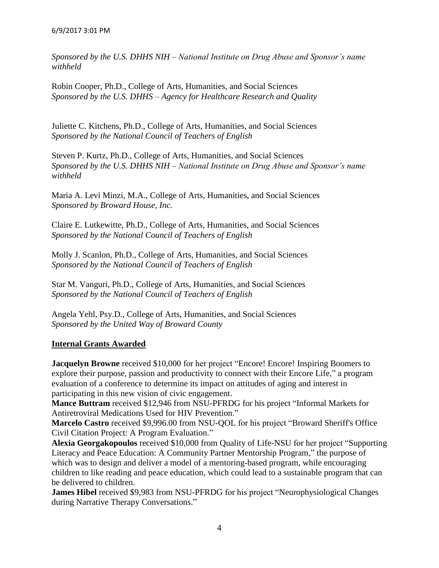*Sponsored by the U.S. DHHS NIH – National Institute on Drug Abuse and Sponsor's name withheld*

Robin Cooper, Ph.D., College of Arts, Humanities, and Social Sciences *Sponsored by the U.S. DHHS – Agency for Healthcare Research and Quality*

Juliette C. Kitchens, Ph.D., College of Arts, Humanities, and Social Sciences *Sponsored by the National Council of Teachers of English* 

Steven P. Kurtz, Ph.D., College of Arts, Humanities, and Social Sciences *Sponsored by the U.S. DHHS NIH – National Institute on Drug Abuse and Sponsor's name withheld* 

Maria A. Levi Minzi, M.A., College of Arts, Humanities, and Social Sciences *Sponsored by Broward House, Inc.* 

Claire E. Lutkewitte, Ph.D., College of Arts, Humanities, and Social Sciences *Sponsored by the National Council of Teachers of English* 

Molly J. Scanlon, Ph.D., College of Arts, Humanities, and Social Sciences *Sponsored by the National Council of Teachers of English* 

Star M. Vanguri, Ph.D., College of Arts, Humanities, and Social Sciences *Sponsored by the National Council of Teachers of English*

Angela Yehl, Psy.D., College of Arts, Humanities, and Social Sciences *Sponsored by the United Way of Broward County*

#### **Internal Grants Awarded**

**Jacquelyn Browne** received \$10,000 for her project "Encore! Encore! Inspiring Boomers to explore their purpose, passion and productivity to connect with their Encore Life," a program evaluation of a conference to determine its impact on attitudes of aging and interest in participating in this new vision of civic engagement.

**Mance Buttram** received \$12,946 from NSU-PFRDG for his project "Informal Markets for Antiretroviral Medications Used for HIV Prevention."

**Marcelo Castro** received \$9,996.00 from NSU-QOL for his project "Broward Sheriff's Office Civil Citation Project: A Program Evaluation."

**Alexia Georgakopoulos** received \$10,000 from Quality of Life-NSU for her project "Supporting Literacy and Peace Education: A Community Partner Mentorship Program," the purpose of which was to design and deliver a model of a mentoring-based program, while encouraging children to like reading and peace education, which could lead to a sustainable program that can be delivered to children.

**James Hibel** received \$9,983 from NSU-PFRDG for his project "Neurophysiological Changes" during Narrative Therapy Conversations."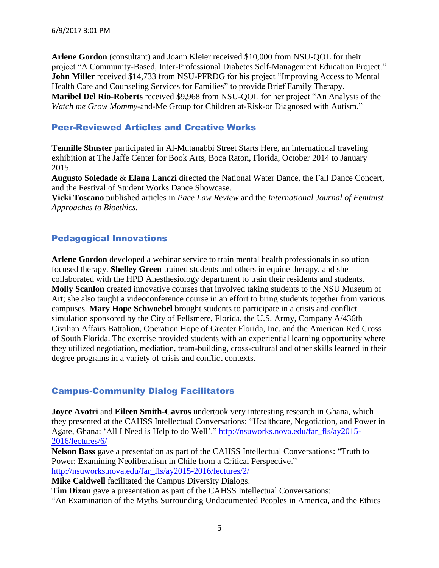**Arlene Gordon** (consultant) and Joann Kleier received \$10,000 from NSU-QOL for their project "A Community-Based, Inter-Professional Diabetes Self-Management Education Project." **John Miller** received \$14,733 from NSU-PFRDG for his project "Improving Access to Mental Health Care and Counseling Services for Families" to provide Brief Family Therapy. **Maribel Del Rio-Roberts** received \$9,968 from NSU-QOL for her project "An Analysis of the *Watch me Grow Mommy*-and-Me Group for Children at-Risk-or Diagnosed with Autism."

#### Peer-Reviewed Articles and Creative Works

**Tennille Shuster** participated in Al-Mutanabbi Street Starts Here, an international traveling exhibition at The Jaffe Center for Book Arts, Boca Raton, Florida, October 2014 to January 2015.

**Augusto Soledade** & **Elana Lanczi** directed the National Water Dance, the Fall Dance Concert, and the Festival of Student Works Dance Showcase.

**Vicki Toscano** published articles in *Pace Law Review* and the *International Journal of Feminist Approaches to Bioethics*.

# Pedagogical Innovations

**Arlene Gordon** developed a webinar service to train mental health professionals in solution focused therapy. **Shelley Green** trained students and others in equine therapy, and she collaborated with the HPD Anesthesiology department to train their residents and students. **Molly Scanlon** created innovative courses that involved taking students to the NSU Museum of Art; she also taught a videoconference course in an effort to bring students together from various campuses. **Mary Hope Schwoebel** brought students to participate in a crisis and conflict simulation sponsored by the City of Fellsmere, Florida, the U.S. Army, Company A/436th Civilian Affairs Battalion, Operation Hope of Greater Florida, Inc. and the American Red Cross of South Florida. The exercise provided students with an experiential learning opportunity where they utilized negotiation, mediation, team-building, cross-cultural and other skills learned in their degree programs in a variety of crisis and conflict contexts.

## Campus-Community Dialog Facilitators

**Joyce Avotri** and **Eileen Smith-Cavros** undertook very interesting research in Ghana, which they presented at the CAHSS Intellectual Conversations: "Healthcare, Negotiation, and Power in Agate, Ghana: 'All I Need is Help to do Well'." [http://nsuworks.nova.edu/far\\_fls/ay2015-](http://nsuworks.nova.edu/far_fls/ay2015-2016/lectures/6/) [2016/lectures/6/](http://nsuworks.nova.edu/far_fls/ay2015-2016/lectures/6/)

**Nelson Bass** gave a presentation as part of the CAHSS Intellectual Conversations: "Truth to Power: Examining Neoliberalism in Chile from a Critical Perspective." [http://nsuworks.nova.edu/far\\_fls/ay2015-2016/lectures/2/](http://nsuworks.nova.edu/far_fls/ay2015-2016/lectures/2/)

**Mike Caldwell** facilitated the Campus Diversity Dialogs.

**Tim Dixon** gave a presentation as part of the CAHSS Intellectual Conversations:

"An Examination of the Myths Surrounding Undocumented Peoples in America, and the Ethics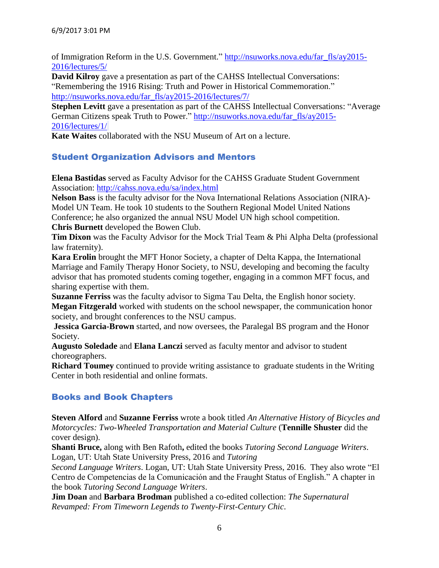of Immigration Reform in the U.S. Government." [http://nsuworks.nova.edu/far\\_fls/ay2015-](http://nsuworks.nova.edu/far_fls/ay2015-2016/lectures/5/) [2016/lectures/5/](http://nsuworks.nova.edu/far_fls/ay2015-2016/lectures/5/)

**David Kilroy** gave a presentation as part of the CAHSS Intellectual Conversations: "Remembering the 1916 Rising: Truth and Power in Historical Commemoration." [http://nsuworks.nova.edu/far\\_fls/ay2015-2016/lectures/7/](http://nsuworks.nova.edu/far_fls/ay2015-2016/lectures/7/)

**Stephen Levitt** gave a presentation as part of the CAHSS Intellectual Conversations: "Average German Citizens speak Truth to Power." [http://nsuworks.nova.edu/far\\_fls/ay2015-](http://nsuworks.nova.edu/far_fls/ay2015-2016/lectures/1/) [2016/lectures/1/](http://nsuworks.nova.edu/far_fls/ay2015-2016/lectures/1/)

**Kate Waites** collaborated with the NSU Museum of Art on a lecture.

#### Student Organization Advisors and Mentors

**Elena Bastidas** served as Faculty Advisor for the CAHSS Graduate Student Government Association: <http://cahss.nova.edu/sa/index.html>

**Nelson Bass** is the faculty advisor for the Nova International Relations Association (NIRA)- Model UN Team. He took 10 students to the Southern Regional Model United Nations Conference; he also organized the annual NSU Model UN high school competition. **Chris Burnett** developed the Bowen Club.

**Tim Dixon** was the Faculty Advisor for the Mock Trial Team & Phi Alpha Delta (professional law fraternity).

**Kara Erolin** brought the MFT Honor Society, a chapter of Delta Kappa, the International Marriage and Family Therapy Honor Society, to NSU, developing and becoming the faculty advisor that has promoted students coming together, engaging in a common MFT focus, and sharing expertise with them.

**Suzanne Ferriss** was the faculty advisor to Sigma Tau Delta, the English honor society. **Megan Fitzgerald** worked with students on the school newspaper, the communication honor society, and brought conferences to the NSU campus.

**Jessica Garcia-Brown** started, and now oversees, the Paralegal BS program and the Honor Society.

**Augusto Soledade** and **Elana Lanczi** served as faculty mentor and advisor to student choreographers.

**Richard Toumey** continued to provide writing assistance to graduate students in the Writing Center in both residential and online formats.

## Books and Book Chapters

**Steven Alford** and **Suzanne Ferriss** wrote a book titled *An Alternative History of Bicycles and Motorcycles: Two-Wheeled Transportation and Material Culture* (**Tennille Shuster** did the cover design).

**Shanti Bruce,** along with Ben Rafoth**,** edited the books *Tutoring Second Language Writers*. Logan, UT: Utah State University Press, 2016 and *Tutoring*

*Second Language Writers*. Logan, UT: Utah State University Press, 2016. They also wrote "El Centro de Competencias de la Comunicación and the Fraught Status of English." A chapter in the book *Tutoring Second Language Writers*.

**Jim Doan** and **Barbara Brodman** published a co-edited collection: *The Supernatural Revamped: From Timeworn Legends to Twenty-First-Century Chic*.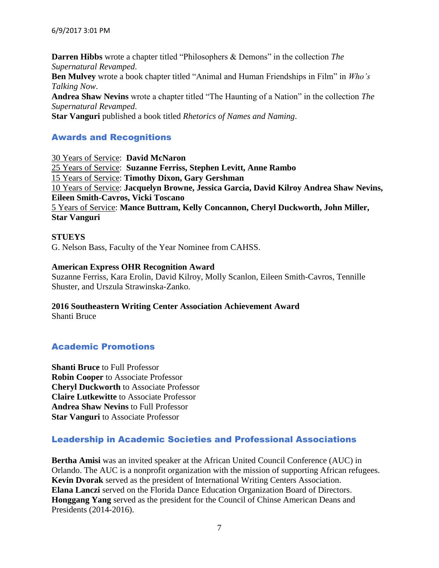**Darren Hibbs** wrote a chapter titled "Philosophers & Demons" in the collection *The Supernatural Revamped*. **Ben Mulvey** wrote a book chapter titled "Animal and Human Friendships in Film" in *Who's Talking Now*. **Andrea Shaw Nevins** wrote a chapter titled "The Haunting of a Nation" in the collection *The Supernatural Revamped*.

**Star Vanguri** published a book titled *Rhetorics of Names and Naming*.

## Awards and Recognitions

30 Years of Service: **David McNaron** 25 Years of Service: **Suzanne Ferriss, Stephen Levitt, Anne Rambo** 15 Years of Service: **Timothy Dixon, Gary Gershman** 10 Years of Service: **Jacquelyn Browne, Jessica Garcia, David Kilroy Andrea Shaw Nevins, Eileen Smith-Cavros, Vicki Toscano** 5 Years of Service: **Mance Buttram, Kelly Concannon, Cheryl Duckworth, John Miller, Star Vanguri**

#### **STUEYS** G. Nelson Bass, Faculty of the Year Nominee from CAHSS.

**American Express OHR Recognition Award** Suzanne Ferriss, Kara Erolin, David Kilroy, Molly Scanlon, Eileen Smith-Cavros, Tennille Shuster, and Urszula Strawinska-Zanko.

#### **2016 Southeastern Writing Center Association Achievement Award** Shanti Bruce

#### Academic Promotions

**Shanti Bruce** to Full Professor **Robin Cooper** to Associate Professor **Cheryl Duckworth** to Associate Professor **Claire Lutkewitte** to Associate Professor **Andrea Shaw Nevins** to Full Professor **Star Vanguri** to Associate Professor

#### Leadership in Academic Societies and Professional Associations

**Bertha Amisi** was an invited speaker at the African United Council Conference (AUC) in Orlando. The AUC is a nonprofit organization with the mission of supporting African refugees. **Kevin Dvorak** served as the president of International Writing Centers Association. **Elana Lanczi** served on the Florida Dance Education Organization Board of Directors. **Honggang Yang** served as the president for the Council of Chinse American Deans and Presidents (2014-2016).